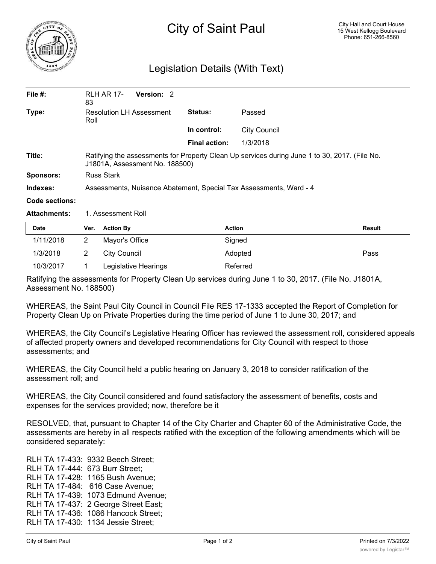

## Legislation Details (With Text)

| File $#$ :       | <b>RLH AR 17-</b><br>83                                                                                                         | Version: 2 |               |                     |  |  |
|------------------|---------------------------------------------------------------------------------------------------------------------------------|------------|---------------|---------------------|--|--|
| Type:            | <b>Resolution LH Assessment</b><br>Roll                                                                                         |            | Status:       | Passed              |  |  |
|                  |                                                                                                                                 |            | In control:   | <b>City Council</b> |  |  |
|                  |                                                                                                                                 |            | Final action: | 1/3/2018            |  |  |
| Title:           | Ratifying the assessments for Property Clean Up services during June 1 to 30, 2017. (File No.<br>J1801A, Assessment No. 188500) |            |               |                     |  |  |
| <b>Sponsors:</b> | <b>Russ Stark</b>                                                                                                               |            |               |                     |  |  |
| Indexes:         | Assessments, Nuisance Abatement, Special Tax Assessments, Ward - 4                                                              |            |               |                     |  |  |
| Code sections:   |                                                                                                                                 |            |               |                     |  |  |

Attachments: 1. Assessment Roll

| <b>Date</b> | Ver. | <b>Action By</b>     | <b>Action</b> | <b>Result</b> |
|-------------|------|----------------------|---------------|---------------|
| 1/11/2018   |      | Mayor's Office       | Signed        |               |
| 1/3/2018    |      | City Council         | Adopted       | Pass          |
| 10/3/2017   |      | Legislative Hearings | Referred      |               |

Ratifying the assessments for Property Clean Up services during June 1 to 30, 2017. (File No. J1801A, Assessment No. 188500)

WHEREAS, the Saint Paul City Council in Council File RES 17-1333 accepted the Report of Completion for Property Clean Up on Private Properties during the time period of June 1 to June 30, 2017; and

WHEREAS, the City Council's Legislative Hearing Officer has reviewed the assessment roll, considered appeals of affected property owners and developed recommendations for City Council with respect to those assessments; and

WHEREAS, the City Council held a public hearing on January 3, 2018 to consider ratification of the assessment roll; and

WHEREAS, the City Council considered and found satisfactory the assessment of benefits, costs and expenses for the services provided; now, therefore be it

RESOLVED, that, pursuant to Chapter 14 of the City Charter and Chapter 60 of the Administrative Code, the assessments are hereby in all respects ratified with the exception of the following amendments which will be considered separately:

RLH TA 17-433: 9332 Beech Street; RLH TA 17-444: 673 Burr Street; RLH TA 17-428: 1165 Bush Avenue; RLH TA 17-484: 616 Case Avenue; RLH TA 17-439: 1073 Edmund Avenue; RLH TA 17-437: 2 George Street East; RLH TA 17-436: 1086 Hancock Street; RLH TA 17-430: 1134 Jessie Street;